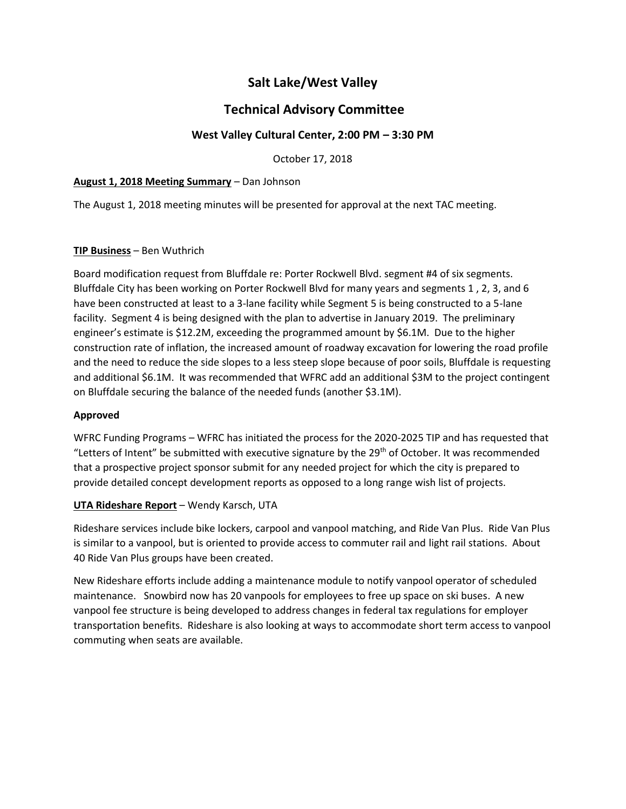# **Salt Lake/West Valley**

# **Technical Advisory Committee**

# **West Valley Cultural Center, 2:00 PM – 3:30 PM**

October 17, 2018

#### **August 1, 2018 Meeting Summary** – Dan Johnson

The August 1, 2018 meeting minutes will be presented for approval at the next TAC meeting.

## **TIP Business** – Ben Wuthrich

Board modification request from Bluffdale re: Porter Rockwell Blvd. segment #4 of six segments. Bluffdale City has been working on Porter Rockwell Blvd for many years and segments 1 , 2, 3, and 6 have been constructed at least to a 3-lane facility while Segment 5 is being constructed to a 5-lane facility. Segment 4 is being designed with the plan to advertise in January 2019. The preliminary engineer's estimate is \$12.2M, exceeding the programmed amount by \$6.1M. Due to the higher construction rate of inflation, the increased amount of roadway excavation for lowering the road profile and the need to reduce the side slopes to a less steep slope because of poor soils, Bluffdale is requesting and additional \$6.1M. It was recommended that WFRC add an additional \$3M to the project contingent on Bluffdale securing the balance of the needed funds (another \$3.1M).

#### **Approved**

WFRC Funding Programs – WFRC has initiated the process for the 2020-2025 TIP and has requested that "Letters of Intent" be submitted with executive signature by the  $29<sup>th</sup>$  of October. It was recommended that a prospective project sponsor submit for any needed project for which the city is prepared to provide detailed concept development reports as opposed to a long range wish list of projects.

# **UTA Rideshare Report** – Wendy Karsch, UTA

Rideshare services include bike lockers, carpool and vanpool matching, and Ride Van Plus. Ride Van Plus is similar to a vanpool, but is oriented to provide access to commuter rail and light rail stations. About 40 Ride Van Plus groups have been created.

New Rideshare efforts include adding a maintenance module to notify vanpool operator of scheduled maintenance. Snowbird now has 20 vanpools for employees to free up space on ski buses. A new vanpool fee structure is being developed to address changes in federal tax regulations for employer transportation benefits. Rideshare is also looking at ways to accommodate short term access to vanpool commuting when seats are available.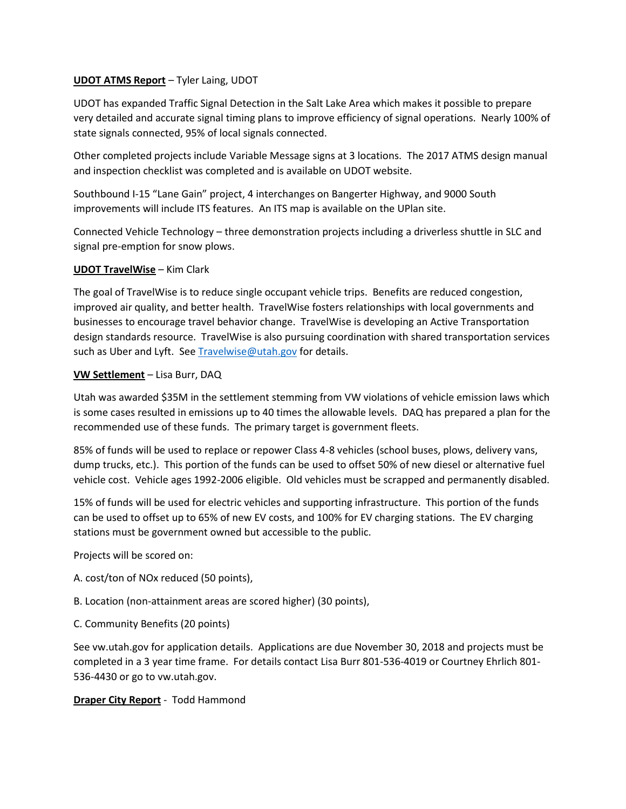#### **UDOT ATMS Report** – Tyler Laing, UDOT

UDOT has expanded Traffic Signal Detection in the Salt Lake Area which makes it possible to prepare very detailed and accurate signal timing plans to improve efficiency of signal operations. Nearly 100% of state signals connected, 95% of local signals connected.

Other completed projects include Variable Message signs at 3 locations. The 2017 ATMS design manual and inspection checklist was completed and is available on UDOT website.

Southbound I-15 "Lane Gain" project, 4 interchanges on Bangerter Highway, and 9000 South improvements will include ITS features. An ITS map is available on the UPlan site.

Connected Vehicle Technology – three demonstration projects including a driverless shuttle in SLC and signal pre-emption for snow plows.

## **UDOT TravelWise** – Kim Clark

The goal of TravelWise is to reduce single occupant vehicle trips. Benefits are reduced congestion, improved air quality, and better health. TravelWise fosters relationships with local governments and businesses to encourage travel behavior change. TravelWise is developing an Active Transportation design standards resource. TravelWise is also pursuing coordination with shared transportation services such as Uber and Lyft. See  $True$  lwise @utah.gov for details.

## **VW Settlement** – Lisa Burr, DAQ

Utah was awarded \$35M in the settlement stemming from VW violations of vehicle emission laws which is some cases resulted in emissions up to 40 times the allowable levels. DAQ has prepared a plan for the recommended use of these funds. The primary target is government fleets.

85% of funds will be used to replace or repower Class 4-8 vehicles (school buses, plows, delivery vans, dump trucks, etc.). This portion of the funds can be used to offset 50% of new diesel or alternative fuel vehicle cost. Vehicle ages 1992-2006 eligible. Old vehicles must be scrapped and permanently disabled.

15% of funds will be used for electric vehicles and supporting infrastructure. This portion of the funds can be used to offset up to 65% of new EV costs, and 100% for EV charging stations. The EV charging stations must be government owned but accessible to the public.

Projects will be scored on:

- A. cost/ton of NOx reduced (50 points),
- B. Location (non-attainment areas are scored higher) (30 points),
- C. Community Benefits (20 points)

See vw.utah.gov for application details. Applications are due November 30, 2018 and projects must be completed in a 3 year time frame. For details contact Lisa Burr 801-536-4019 or Courtney Ehrlich 801- 536-4430 or go to vw.utah.gov.

# **Draper City Report** - Todd Hammond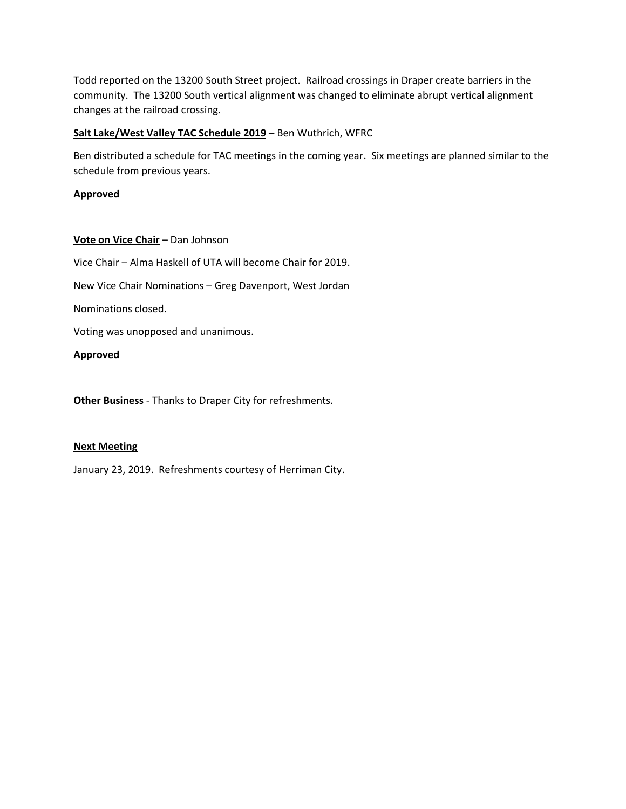Todd reported on the 13200 South Street project. Railroad crossings in Draper create barriers in the community. The 13200 South vertical alignment was changed to eliminate abrupt vertical alignment changes at the railroad crossing.

#### **Salt Lake/West Valley TAC Schedule 2019** – Ben Wuthrich, WFRC

Ben distributed a schedule for TAC meetings in the coming year. Six meetings are planned similar to the schedule from previous years.

## **Approved**

## **Vote on Vice Chair** – Dan Johnson

Vice Chair – Alma Haskell of UTA will become Chair for 2019.

New Vice Chair Nominations – Greg Davenport, West Jordan

Nominations closed.

Voting was unopposed and unanimous.

#### **Approved**

**Other Business** - Thanks to Draper City for refreshments.

#### **Next Meeting**

January 23, 2019. Refreshments courtesy of Herriman City.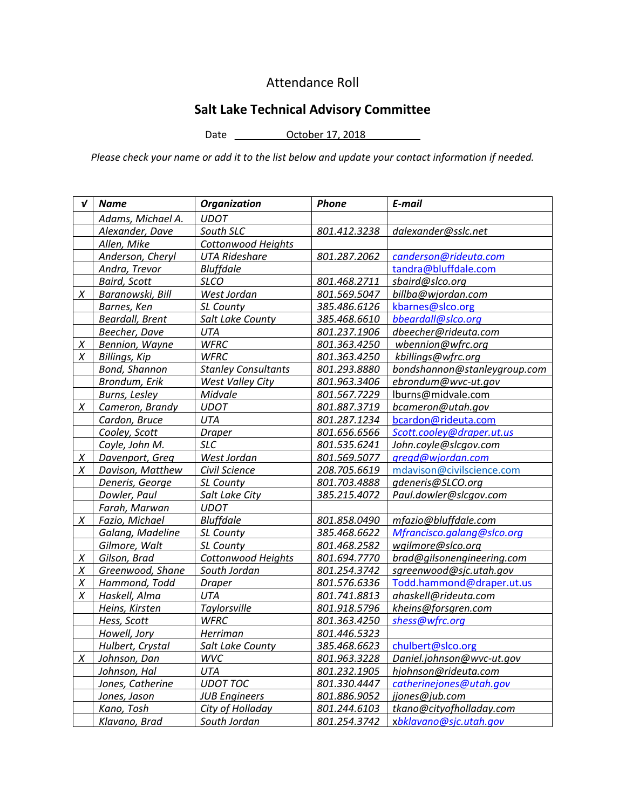# Attendance Roll

# **Salt Lake Technical Advisory Committee**

Date <u>October 17, 2018</u>

*Please check your name or add it to the list below and update your contact information if needed.*

| $\boldsymbol{\mathsf{v}}$ | <b>Name</b>            | <b>Organization</b>        | <b>Phone</b> | E-mail                       |
|---------------------------|------------------------|----------------------------|--------------|------------------------------|
|                           | Adams, Michael A.      | <b>UDOT</b>                |              |                              |
|                           | Alexander, Dave        | South SLC                  | 801.412.3238 | dalexander@sslc.net          |
|                           | Allen, Mike            | Cottonwood Heights         |              |                              |
|                           | Anderson, Cheryl       | <b>UTA Rideshare</b>       | 801.287.2062 | canderson@rideuta.com        |
|                           | Andra, Trevor          | <b>Bluffdale</b>           |              | tandra@bluffdale.com         |
|                           | <b>Baird, Scott</b>    | <b>SLCO</b>                | 801.468.2711 | sbaird@slco.org              |
| X                         | Baranowski, Bill       | West Jordan                | 801.569.5047 | billba@wjordan.com           |
|                           | Barnes, Ken            | SL County                  | 385.486.6126 | kbarnes@slco.org             |
|                           | <b>Beardall, Brent</b> | Salt Lake County           | 385.468.6610 | bbeardall@slco.org           |
|                           | Beecher, Dave          | UTA                        | 801.237.1906 | dbeecher@rideuta.com         |
| X                         | Bennion, Wayne         | <b>WFRC</b>                | 801.363.4250 | wbennion@wfrc.org            |
| X                         | Billings, Kip          | <b>WFRC</b>                | 801.363.4250 | kbillings@wfrc.org           |
|                           | Bond, Shannon          | <b>Stanley Consultants</b> | 801.293.8880 | bondshannon@stanleygroup.com |
|                           | Brondum, Erik          | West Valley City           | 801.963.3406 | ebrondum@wvc-ut.gov          |
|                           | <b>Burns, Lesley</b>   | Midvale                    | 801.567.7229 | lburns@midvale.com           |
| X                         | Cameron, Brandy        | <b>UDOT</b>                | 801.887.3719 | bcameron@utah.gov            |
|                           | Cardon, Bruce          | <b>UTA</b>                 | 801.287.1234 | bcardon@rideuta.com          |
|                           | Cooley, Scott          | <b>Draper</b>              | 801.656.6566 | Scott.cooley@draper.ut.us    |
|                           | Coyle, John M.         | <b>SLC</b>                 | 801.535.6241 | John.coyle@slcgov.com        |
| X                         | Davenport, Greg        | West Jordan                | 801.569.5077 | gregd@wjordan.com            |
| X                         | Davison, Matthew       | Civil Science              | 208.705.6619 | mdavison@civilscience.com    |
|                           | Deneris, George        | SL County                  | 801.703.4888 | gdeneris@SLCO.org            |
|                           | Dowler, Paul           | Salt Lake City             | 385.215.4072 | Paul.dowler@slcgov.com       |
|                           | Farah, Marwan          | <b>UDOT</b>                |              |                              |
| X                         | Fazio, Michael         | <b>Bluffdale</b>           | 801.858.0490 | mfazio@bluffdale.com         |
|                           | Galang, Madeline       | SL County                  | 385.468.6622 | Mfrancisco.galang@slco.org   |
|                           | Gilmore, Walt          | SL County                  | 801.468.2582 | wgilmore@slco.org            |
| X                         | Gilson, Brad           | Cottonwood Heights         | 801.694.7770 | brad@gilsonengineering.com   |
| $\chi$                    | Greenwood, Shane       | South Jordan               | 801.254.3742 | sgreenwood@sjc.utah.gov      |
| X                         | Hammond, Todd          | <b>Draper</b>              | 801.576.6336 | Todd.hammond@draper.ut.us    |
| X                         | Haskell, Alma          | UTA                        | 801.741.8813 | ahaskell@rideuta.com         |
|                           | Heins, Kirsten         | Taylorsville               | 801.918.5796 | kheins@forsgren.com          |
|                           | Hess, Scott            | <b>WFRC</b>                | 801.363.4250 | shess@wfrc.org               |
|                           | Howell, Jory           | Herriman                   | 801.446.5323 |                              |
|                           | Hulbert, Crystal       | Salt Lake County           | 385.468.6623 | chulbert@slco.org            |
| X                         | Johnson, Dan           | WVC                        | 801.963.3228 | Daniel.johnson@wvc-ut.gov    |
|                           | Johnson, Hal           | <b>UTA</b>                 | 801.232.1905 | hjohnson@rideuta.com         |
|                           | Jones, Catherine       | <b>UDOT TOC</b>            | 801.330.4447 | catherinejones@utah.gov      |
|                           | Jones, Jason           | <b>JUB Engineers</b>       | 801.886.9052 | jjones@jub.com               |
|                           | Kano, Tosh             | City of Holladay           | 801.244.6103 | tkano@cityofholladay.com     |
|                           | Klavano, Brad          | South Jordan               | 801.254.3742 | xbklavano@sjc.utah.gov       |